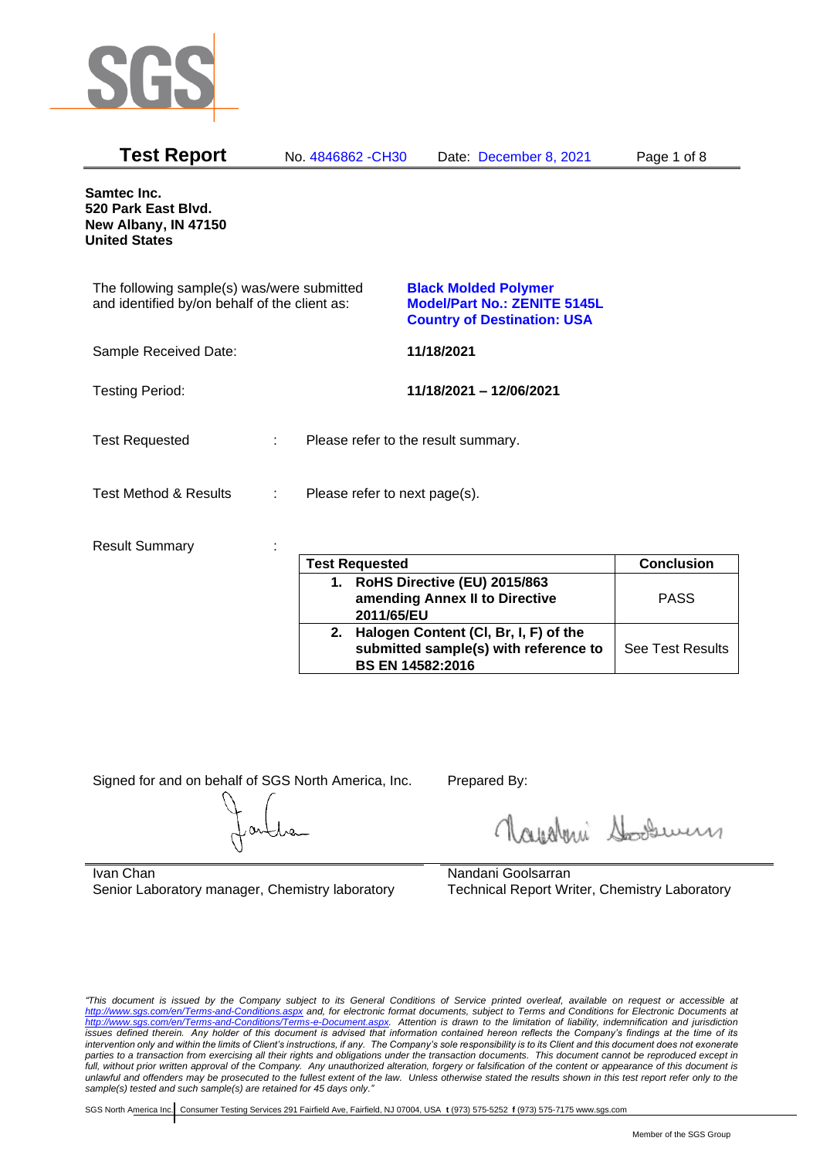

| <b>Test Report</b>                                                                          |   | No. 4846862 - CH30                  | Date: December 8, 2021                                                                                   | Page 1 of 8       |  |
|---------------------------------------------------------------------------------------------|---|-------------------------------------|----------------------------------------------------------------------------------------------------------|-------------------|--|
| Samtec Inc.<br>520 Park East Blvd.<br>New Albany, IN 47150<br><b>United States</b>          |   |                                     |                                                                                                          |                   |  |
| The following sample(s) was/were submitted<br>and identified by/on behalf of the client as: |   |                                     | <b>Black Molded Polymer</b><br><b>Model/Part No.: ZENITE 5145L</b><br><b>Country of Destination: USA</b> |                   |  |
| Sample Received Date:                                                                       |   |                                     | 11/18/2021                                                                                               |                   |  |
| <b>Testing Period:</b>                                                                      |   |                                     | 11/18/2021 - 12/06/2021                                                                                  |                   |  |
| <b>Test Requested</b>                                                                       | ÷ | Please refer to the result summary. |                                                                                                          |                   |  |
| <b>Test Method &amp; Results</b>                                                            | ÷ | Please refer to next page(s).       |                                                                                                          |                   |  |
| <b>Result Summary</b>                                                                       |   | <b>Test Requested</b>               |                                                                                                          | <b>Conclusion</b> |  |

|    | <b>Test Requested</b>                                                                                     | <b>Conclusion</b>       |
|----|-----------------------------------------------------------------------------------------------------------|-------------------------|
| 1. | RoHS Directive (EU) 2015/863<br>amending Annex II to Directive<br>2011/65/EU                              | <b>PASS</b>             |
| 2. | Halogen Content (CI, Br, I, F) of the<br>submitted sample(s) with reference to<br><b>BS EN 14582:2016</b> | <b>See Test Results</b> |

Signed for and on behalf of SGS North America, Inc. Prepared By:

Roughan Souri

Ivan Chan Senior Laboratory manager, Chemistry laboratory

Nandani Goolsarran Technical Report Writer, Chemistry Laboratory

*"This document is issued by the Company subject to its General Conditions of Service printed overleaf, available on request or accessible at <http://www.sgs.com/en/Terms-and-Conditions.aspx> and, for electronic format documents, subject to Terms and Conditions for Electronic Documents at [http://www.sgs.com/en/Terms-and-Conditions/Terms-e-Document.aspx.](http://www.sgs.com/en/Terms-and-Conditions/Terms-e-Document.aspx) Attention is drawn to the limitation of liability, indemnification and jurisdiction issues defined therein. Any holder of this document is advised that information contained hereon reflects the Company's findings at the time of its intervention only and within the limits of Client's instructions, if any. The Company's sole responsibility is to its Client and this document does not exonerate*  parties to a transaction from exercising all their rights and obligations under the transaction documents. This document cannot be reproduced except in *full, without prior written approval of the Company. Any unauthorized alteration, forgery or falsification of the content or appearance of this document is unlawful and offenders may be prosecuted to the fullest extent of the law. Unless otherwise stated the results shown in this test report refer only to the sample(s) tested and such sample(s) are retained for 45 days only."*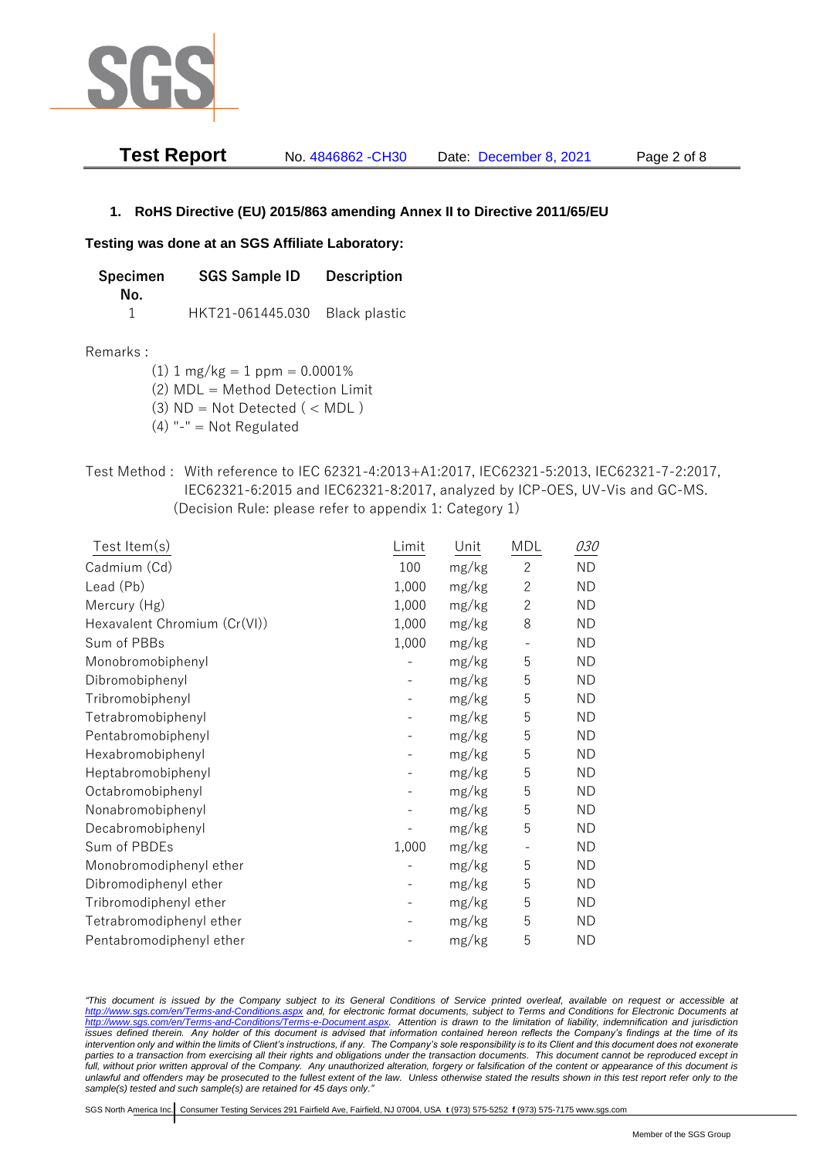

| <b>Test Report</b> | No. 4846862 - CH30 | Date: December 8, 2021 | Page 2 of 8 |
|--------------------|--------------------|------------------------|-------------|
|                    |                    |                        |             |

## **1. RoHS Directive (EU) 2015/863 amending Annex II to Directive 2011/65/EU**

## **Testing was done at an SGS Affiliate Laboratory:**

| <b>SGS Sample ID</b><br><b>Specimen</b> |                  | <b>Description</b> |  |
|-----------------------------------------|------------------|--------------------|--|
| No.                                     |                  |                    |  |
|                                         | HKT21-061445.030 | Black plastic      |  |

#### Remarks :

 $(1)$  1 mg/kg = 1 ppm = 0.0001%

(2) MDL = Method Detection Limit

- (3)  $ND = Not detected$  ( < MDL)
- (4) "-" = Not Regulated
- Test Method : With reference to IEC 62321-4:2013+A1:2017, IEC62321-5:2013, IEC62321-7-2:2017, IEC62321-6:2015 and IEC62321-8:2017, analyzed by ICP-OES, UV-Vis and GC-MS. (Decision Rule: please refer to appendix 1: Category 1)

| Test Item(s)                 | Limit | Unit  | MDL            | <i>030</i> |
|------------------------------|-------|-------|----------------|------------|
| Cadmium (Cd)                 | 100   | mg/kg | $\overline{2}$ | <b>ND</b>  |
| Lead (Pb)                    | 1,000 | mg/kg | $\mathbf{2}$   | <b>ND</b>  |
| Mercury (Hg)                 | 1,000 | mg/kg | $\mathbf{2}$   | <b>ND</b>  |
| Hexavalent Chromium (Cr(VI)) | 1,000 | mg/kg | 8              | ND         |
| Sum of PBBs                  | 1,000 | mg/kg |                | <b>ND</b>  |
| Monobromobiphenyl            |       | mg/kg | 5              | <b>ND</b>  |
| Dibromobiphenyl              |       | mg/kg | 5              | <b>ND</b>  |
| Tribromobiphenyl             |       | mg/kg | 5              | <b>ND</b>  |
| Tetrabromobiphenyl           |       | mg/kg | 5              | <b>ND</b>  |
| Pentabromobiphenyl           |       | mg/kg | 5              | <b>ND</b>  |
| Hexabromobiphenyl            |       | mg/kg | 5              | <b>ND</b>  |
| Heptabromobiphenyl           |       | mg/kg | 5              | <b>ND</b>  |
| Octabromobiphenyl            |       | mg/kg | 5              | <b>ND</b>  |
| Nonabromobiphenyl            |       | mg/kg | 5              | <b>ND</b>  |
| Decabromobiphenyl            |       | mg/kg | 5              | <b>ND</b>  |
| Sum of PBDEs                 | 1,000 | mg/kg |                | <b>ND</b>  |
| Monobromodiphenyl ether      |       | mg/kg | 5              | <b>ND</b>  |
| Dibromodiphenyl ether        |       | mg/kg | 5              | ND         |
| Tribromodiphenyl ether       |       | mg/kg | 5              | <b>ND</b>  |
| Tetrabromodiphenyl ether     |       | mg/kg | 5              | <b>ND</b>  |
| Pentabromodiphenyl ether     |       | mg/kg | 5              | <b>ND</b>  |

*"This document is issued by the Company subject to its General Conditions of Service printed overleaf, available on request or accessible at <http://www.sgs.com/en/Terms-and-Conditions.aspx> and, for electronic format documents, subject to Terms and Conditions for Electronic Documents at [http://www.sgs.com/en/Terms-and-Conditions/Terms-e-Document.aspx.](http://www.sgs.com/en/Terms-and-Conditions/Terms-e-Document.aspx) Attention is drawn to the limitation of liability, indemnification and jurisdiction issues defined therein. Any holder of this document is advised that information contained hereon reflects the Company's findings at the time of its intervention only and within the limits of Client's instructions, if any. The Company's sole responsibility is to its Client and this document does not exonerate parties to a transaction from exercising all their rights and obligations under the transaction documents. This document cannot be reproduced except in full, without prior written approval of the Company. Any unauthorized alteration, forgery or falsification of the content or appearance of this document is unlawful and offenders may be prosecuted to the fullest extent of the law. Unless otherwise stated the results shown in this test report refer only to the sample(s) tested and such sample(s) are retained for 45 days only."*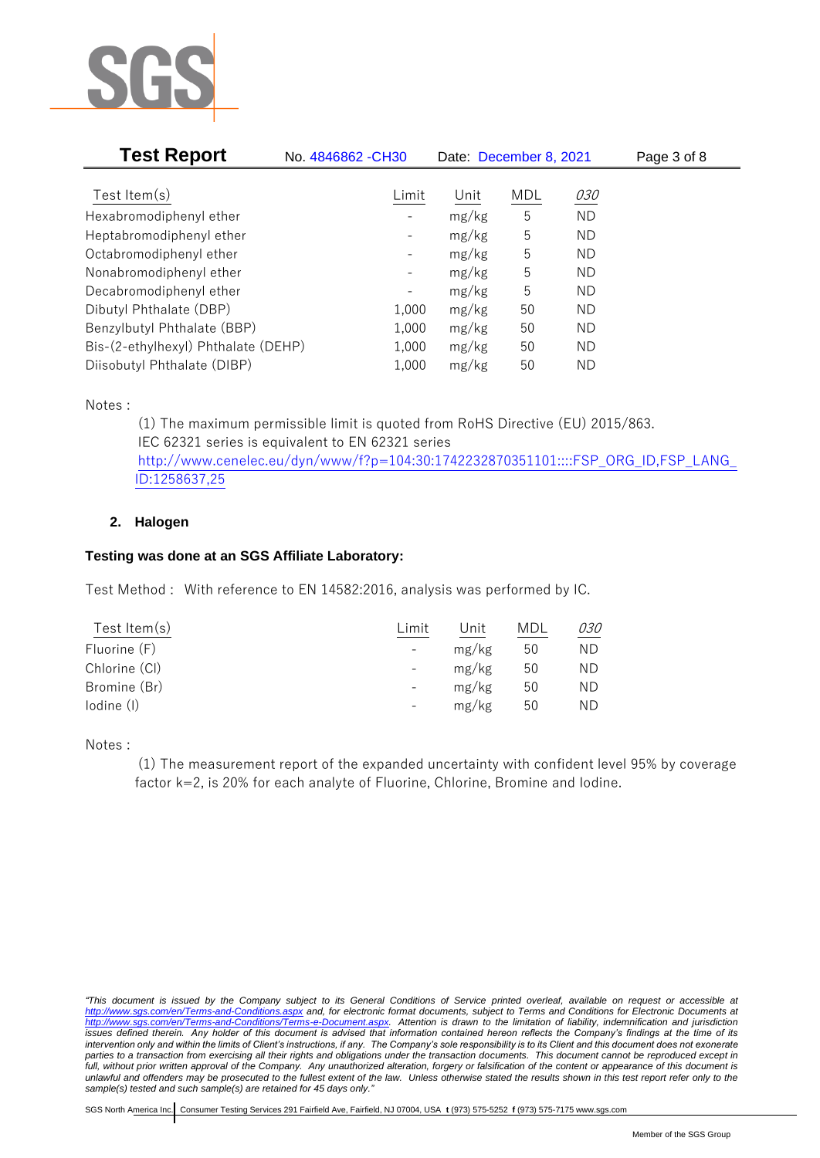

| <b>Test Report</b>                  | No. 4846862 - CH30           | Date: December 8, 2021 |            | Page 3 of 8 |  |
|-------------------------------------|------------------------------|------------------------|------------|-------------|--|
|                                     |                              |                        |            |             |  |
| Test Item $(s)$                     | Limit                        | Unit                   | <b>MDL</b> | <i>030</i>  |  |
| Hexabromodiphenyl ether             |                              | mg/kg                  | 5          | <b>ND</b>   |  |
| Heptabromodiphenyl ether            |                              | mg/kg                  | 5          | ΝD          |  |
| Octabromodiphenyl ether             | -                            | mg/kg                  | 5          | ND          |  |
| Nonabromodiphenyl ether             | $\qquad \qquad -$            | mg/kg                  | 5          | ND          |  |
| Decabromodiphenyl ether             | $\qquad \qquad \blacksquare$ | mg/kg                  | 5          | ND          |  |
| Dibutyl Phthalate (DBP)             | 1,000                        | mg/kg                  | 50         | ND          |  |
| Benzylbutyl Phthalate (BBP)         | 1,000                        | mg/kg                  | 50         | ND          |  |
| Bis-(2-ethylhexyl) Phthalate (DEHP) | 1,000                        | mg/kg                  | 50         | ND.         |  |
| Diisobutyl Phthalate (DIBP)         | 1,000                        | mg/kg                  | 50         | ΝD          |  |

Notes :

(1) The maximum permissible limit is quoted from RoHS Directive (EU) 2015/863. IEC 62321 series is equivalent to EN 62321 series [http://www.cenelec.eu/dyn/www/f?p=104:30:1742232870351101::::FSP\\_ORG\\_ID,FSP\\_LANG\\_](http://www.cenelec.eu/dyn/www/f?p=104:30:1742232870351101::::FSP_ORG_ID,FSP_LANG_ID:1258637,25) [ID:1258637,25](http://www.cenelec.eu/dyn/www/f?p=104:30:1742232870351101::::FSP_ORG_ID,FSP_LANG_ID:1258637,25)

# **2. Halogen**

# **Testing was done at an SGS Affiliate Laboratory:**

Test Method : With reference to EN 14582:2016, analysis was performed by IC.

| Test Item $(s)$ | Limit                    | Jnit  | MDL | <i>030</i> |
|-----------------|--------------------------|-------|-----|------------|
| Fluorine (F)    | $\overline{\phantom{a}}$ | mg/kg | 50  | ND         |
| Chlorine (CI)   | $\overline{\phantom{a}}$ | mg/kg | 50  | ND         |
| Bromine (Br)    | $\overline{\phantom{a}}$ | mg/kg | 50  | ND         |
| lodine (I)      | $\overline{\phantom{a}}$ | mg/kg | 50  | ND         |
|                 |                          |       |     |            |

Notes :

(1) The measurement report of the expanded uncertainty with confident level 95% by coverage factor k=2, is 20% for each analyte of Fluorine, Chlorine, Bromine and Iodine.

*<sup>&</sup>quot;This document is issued by the Company subject to its General Conditions of Service printed overleaf, available on request or accessible at <http://www.sgs.com/en/Terms-and-Conditions.aspx> and, for electronic format documents, subject to Terms and Conditions for Electronic Documents at [http://www.sgs.com/en/Terms-and-Conditions/Terms-e-Document.aspx.](http://www.sgs.com/en/Terms-and-Conditions/Terms-e-Document.aspx) Attention is drawn to the limitation of liability, indemnification and jurisdiction issues defined therein. Any holder of this document is advised that information contained hereon reflects the Company's findings at the time of its intervention only and within the limits of Client's instructions, if any. The Company's sole responsibility is to its Client and this document does not exonerate parties to a transaction from exercising all their rights and obligations under the transaction documents. This document cannot be reproduced except in full, without prior written approval of the Company. Any unauthorized alteration, forgery or falsification of the content or appearance of this document is unlawful and offenders may be prosecuted to the fullest extent of the law. Unless otherwise stated the results shown in this test report refer only to the sample(s) tested and such sample(s) are retained for 45 days only."*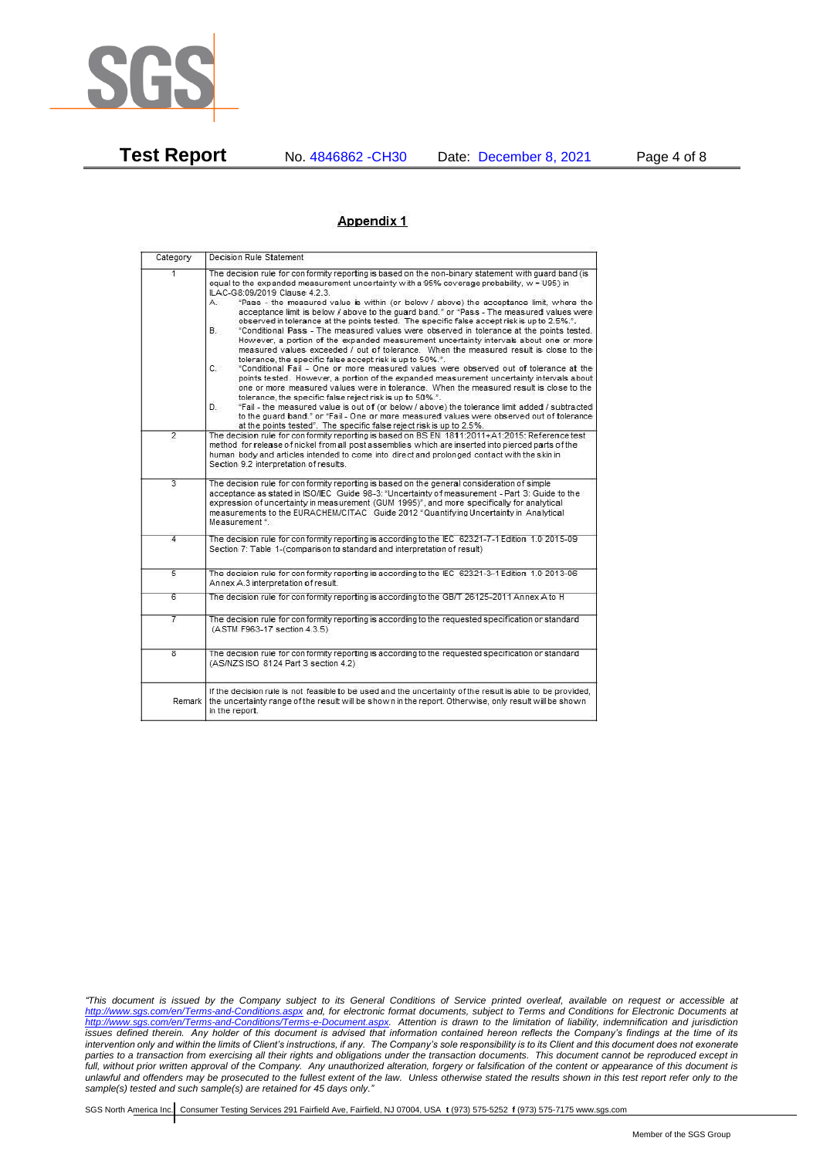

**Test Report** No. 4846862 -CH30 Date: December 8, 2021 Page 4 of 8

## Appendix 1

| Category                | Decision Rule Statement                                                                                                                                                                                                                                                                                                                                                                                                                                                                                                                                                                                                                                                                                                                                                                                                                                                                                                                                                                                                                                                                                                                                                                                                                                                                                                                                                                                                                                                                                            |
|-------------------------|--------------------------------------------------------------------------------------------------------------------------------------------------------------------------------------------------------------------------------------------------------------------------------------------------------------------------------------------------------------------------------------------------------------------------------------------------------------------------------------------------------------------------------------------------------------------------------------------------------------------------------------------------------------------------------------------------------------------------------------------------------------------------------------------------------------------------------------------------------------------------------------------------------------------------------------------------------------------------------------------------------------------------------------------------------------------------------------------------------------------------------------------------------------------------------------------------------------------------------------------------------------------------------------------------------------------------------------------------------------------------------------------------------------------------------------------------------------------------------------------------------------------|
| 4.                      | The decision rule for conformity reporting is based on the non-binary statement with quard band (is<br>equal to the expanded measurement uncertainty with a 95% coverage probability, w = U95) in<br>ILAC-G8:09/2019 Clause 4.2.3.<br>"Pass - the measured value is within (or below / above) the acceptance limit, where the<br>А.<br>acceptance limit is below / above to the quard band." or "Pass - The measured values were<br>observed in tolerance at the points tested. The specific false accept risk is up to 2.5%.".<br>В.<br>"Conditional Pass - The measured values were observed in tolerance at the points tested.<br>However, a portion of the expanded measurement uncertainty intervals about one or more<br>measured values exceeded / out of tolerance. When the measured result is close to the<br>tolerance, the specific false accept risk is up to 50%.".<br>C.<br>"Conditional Fail - One or more measured values were observed out of tolerance at the<br>points tested. However, a portion of the expanded measurement uncertainty intervals about<br>one or more measured values were in tolerance. When the measured result is close to the<br>tolerance, the specific false reject risk is up to 50%.".<br>"Fail - the measured value is out of (or below / above) the tolerance limit added / subtracted<br>D.<br>to the quard band." or "Fail - One or more measured values were observed out of tolerance<br>at the points tested". The specific false reject risk is up to 2.5%. |
| $\overline{2}$          | The decision rule for conformity reporting is based on BS EN 1811:2011+A1:2015: Reference test<br>method for release of nickel from all post assemblies which are inserted into pierced parts of the<br>human body and articles intended to come into direct and prolonged contact with the skin in<br>Section 9.2 interpretation of results.                                                                                                                                                                                                                                                                                                                                                                                                                                                                                                                                                                                                                                                                                                                                                                                                                                                                                                                                                                                                                                                                                                                                                                      |
| 3                       | The decision rule for conformity reporting is based on the general consideration of simple<br>acceptance as stated in ISO/IEC Guide 98-3: "Uncertainty of measurement - Part 3: Guide to the<br>expression of uncertainty in measurement (GUM 1995)", and more specifically for analytical<br>measurements to the EURACHEM/CITAC Guide 2012 "Quantifying Uncertainty in Analytical<br>Measurement <sup>*</sup>                                                                                                                                                                                                                                                                                                                                                                                                                                                                                                                                                                                                                                                                                                                                                                                                                                                                                                                                                                                                                                                                                                     |
| 4                       | The decision rule for conformity reporting is according to the IEC 62321-7-1 Edition 1.0 2015-09<br>Section 7: Table 1-(comparison to standard and interpretation of result)                                                                                                                                                                                                                                                                                                                                                                                                                                                                                                                                                                                                                                                                                                                                                                                                                                                                                                                                                                                                                                                                                                                                                                                                                                                                                                                                       |
| $\overline{5}$          | The decision rule for conformity reporting is according to the IEC 62321-3-1 Edition 1.0 2013-06<br>Annex A.3 interpretation of result.                                                                                                                                                                                                                                                                                                                                                                                                                                                                                                                                                                                                                                                                                                                                                                                                                                                                                                                                                                                                                                                                                                                                                                                                                                                                                                                                                                            |
| 6                       | The decision rule for conformity reporting is according to the GB/T 26125-2011 Annex A to H                                                                                                                                                                                                                                                                                                                                                                                                                                                                                                                                                                                                                                                                                                                                                                                                                                                                                                                                                                                                                                                                                                                                                                                                                                                                                                                                                                                                                        |
| 7                       | The decision rule for conformity reporting is according to the requested specification or standard<br>(ASTM F963-17 section 4.3.5)                                                                                                                                                                                                                                                                                                                                                                                                                                                                                                                                                                                                                                                                                                                                                                                                                                                                                                                                                                                                                                                                                                                                                                                                                                                                                                                                                                                 |
| $\overline{\mathbf{g}}$ | The decision rule for conformity reporting is according to the requested specification or standard<br>(AS/NZS ISO 8124 Part 3 section 4.2)                                                                                                                                                                                                                                                                                                                                                                                                                                                                                                                                                                                                                                                                                                                                                                                                                                                                                                                                                                                                                                                                                                                                                                                                                                                                                                                                                                         |
| Remark                  | If the decision rule is not feasible to be used and the uncertainty of the result is able to be provided,<br>the uncertainty range of the result will be shown in the report. Otherwise, only result will be shown<br>in the report.                                                                                                                                                                                                                                                                                                                                                                                                                                                                                                                                                                                                                                                                                                                                                                                                                                                                                                                                                                                                                                                                                                                                                                                                                                                                               |

*<sup>&</sup>quot;This document is issued by the Company subject to its General Conditions of Service printed overleaf, available on request or accessible at <http://www.sgs.com/en/Terms-and-Conditions.aspx> and, for electronic format documents, subject to Terms and Conditions for Electronic Documents at [http://www.sgs.com/en/Terms-and-Conditions/Terms-e-Document.aspx.](http://www.sgs.com/en/Terms-and-Conditions/Terms-e-Document.aspx) Attention is drawn to the limitation of liability, indemnification and jurisdiction issues defined therein. Any holder of this document is advised that information contained hereon reflects the Company's findings at the time of its intervention only and within the limits of Client's instructions, if any. The Company's sole responsibility is to its Client and this document does not exonerate parties to a transaction from exercising all their rights and obligations under the transaction documents. This document cannot be reproduced except in full, without prior written approval of the Company. Any unauthorized alteration, forgery or falsification of the content or appearance of this document is unlawful and offenders may be prosecuted to the fullest extent of the law. Unless otherwise stated the results shown in this test report refer only to the sample(s) tested and such sample(s) are retained for 45 days only."*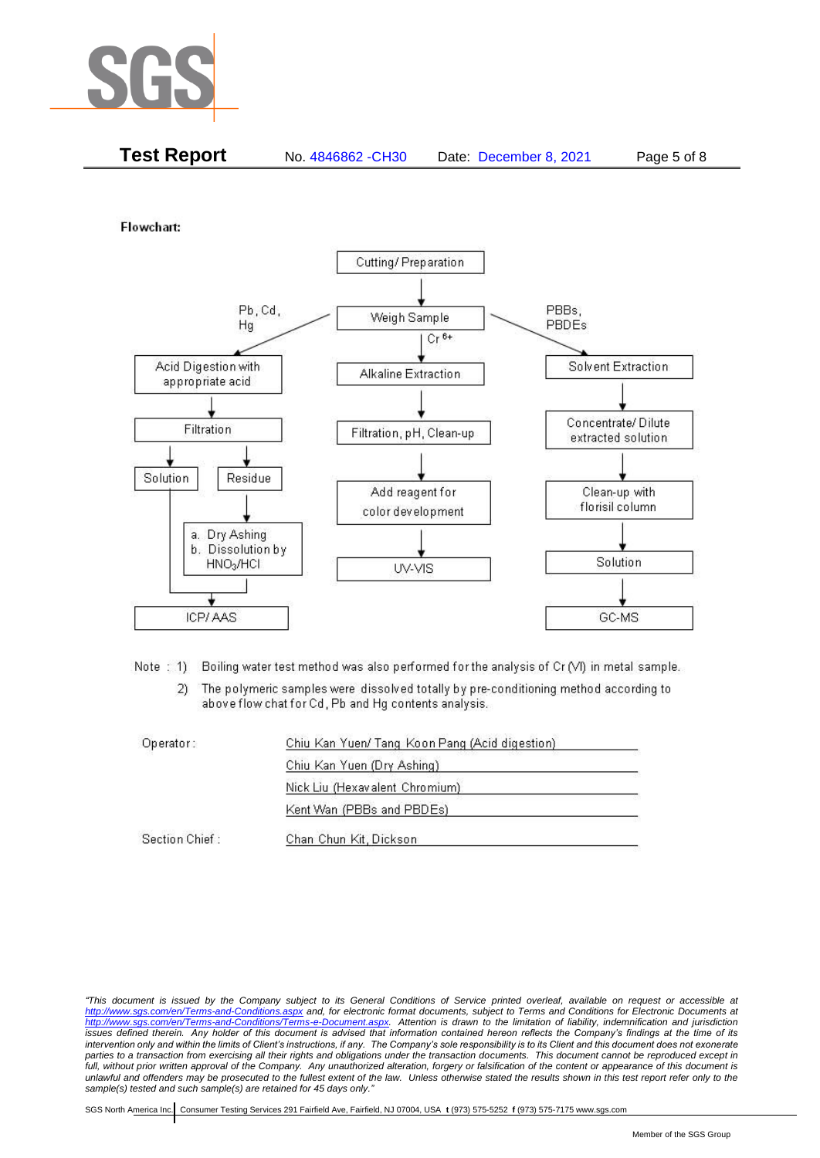

| <b>Test Report</b><br>No. 4846862 - CH30<br>Page 5 of 8<br>Date: December 8, 2021 |
|-----------------------------------------------------------------------------------|
|-----------------------------------------------------------------------------------|

Flowchart:



Note: 1) Boiling water test method was also performed for the analysis of Cr (VI) in metal sample.

The polymeric samples were dissolved totally by pre-conditioning method according to  $2)$ above flow chat for Cd, Pb and Hg contents analysis.

| Operator:      | Chiu Kan Yuen/ Tang Koon Pang (Acid digestion) |  |
|----------------|------------------------------------------------|--|
|                | Chiu Kan Yuen (Dry Ashing)                     |  |
|                | Nick Liu (Hexavalent Chromium)                 |  |
|                | Kent Wan (PBBs and PBDEs)                      |  |
| Section Chief: | Chan Chun Kit, Dickson                         |  |

*"This document is issued by the Company subject to its General Conditions of Service printed overleaf, available on request or accessible at <http://www.sgs.com/en/Terms-and-Conditions.aspx> and, for electronic format documents, subject to Terms and Conditions for Electronic Documents at [http://www.sgs.com/en/Terms-and-Conditions/Terms-e-Document.aspx.](http://www.sgs.com/en/Terms-and-Conditions/Terms-e-Document.aspx) Attention is drawn to the limitation of liability, indemnification and jurisdiction issues defined therein. Any holder of this document is advised that information contained hereon reflects the Company's findings at the time of its intervention only and within the limits of Client's instructions, if any. The Company's sole responsibility is to its Client and this document does not exonerate parties to a transaction from exercising all their rights and obligations under the transaction documents. This document cannot be reproduced except in full, without prior written approval of the Company. Any unauthorized alteration, forgery or falsification of the content or appearance of this document is unlawful and offenders may be prosecuted to the fullest extent of the law. Unless otherwise stated the results shown in this test report refer only to the sample(s) tested and such sample(s) are retained for 45 days only."*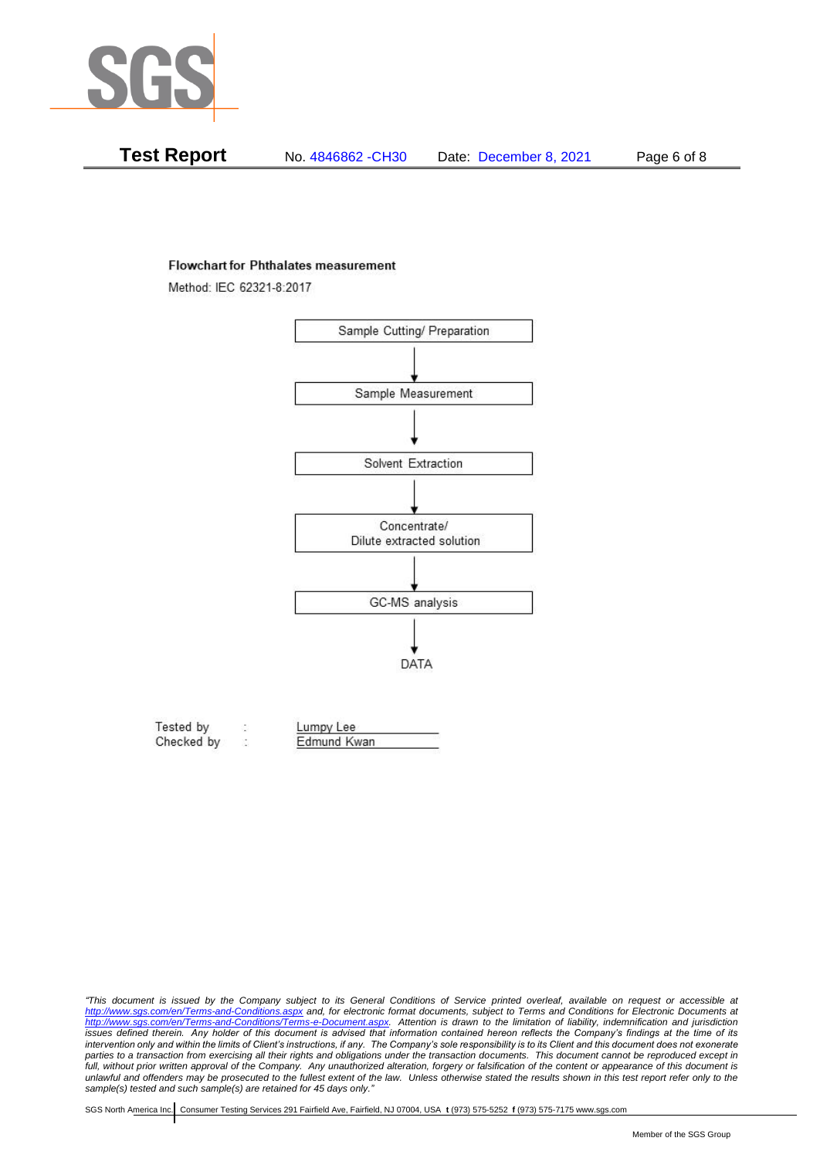

| Test Report | No. 4846862 -CH30 | Date: December 8, 2021 | Page 6 of 8 |
|-------------|-------------------|------------------------|-------------|
|-------------|-------------------|------------------------|-------------|

#### **Flowchart for Phthalates measurement**

Method: IEC 62321-8:2017



| Tested by  | Lumpy Lee   |  |
|------------|-------------|--|
| Checked by | Edmund Kwan |  |

*<sup>&</sup>quot;This document is issued by the Company subject to its General Conditions of Service printed overleaf, available on request or accessible at <http://www.sgs.com/en/Terms-and-Conditions.aspx> and, for electronic format documents, subject to Terms and Conditions for Electronic Documents at [http://www.sgs.com/en/Terms-and-Conditions/Terms-e-Document.aspx.](http://www.sgs.com/en/Terms-and-Conditions/Terms-e-Document.aspx) Attention is drawn to the limitation of liability, indemnification and jurisdiction issues defined therein. Any holder of this document is advised that information contained hereon reflects the Company's findings at the time of its intervention only and within the limits of Client's instructions, if any. The Company's sole responsibility is to its Client and this document does not exonerate*  parties to a transaction from exercising all their rights and obligations under the transaction documents. This document cannot be reproduced except in *full, without prior written approval of the Company. Any unauthorized alteration, forgery or falsification of the content or appearance of this document is unlawful and offenders may be prosecuted to the fullest extent of the law. Unless otherwise stated the results shown in this test report refer only to the sample(s) tested and such sample(s) are retained for 45 days only."*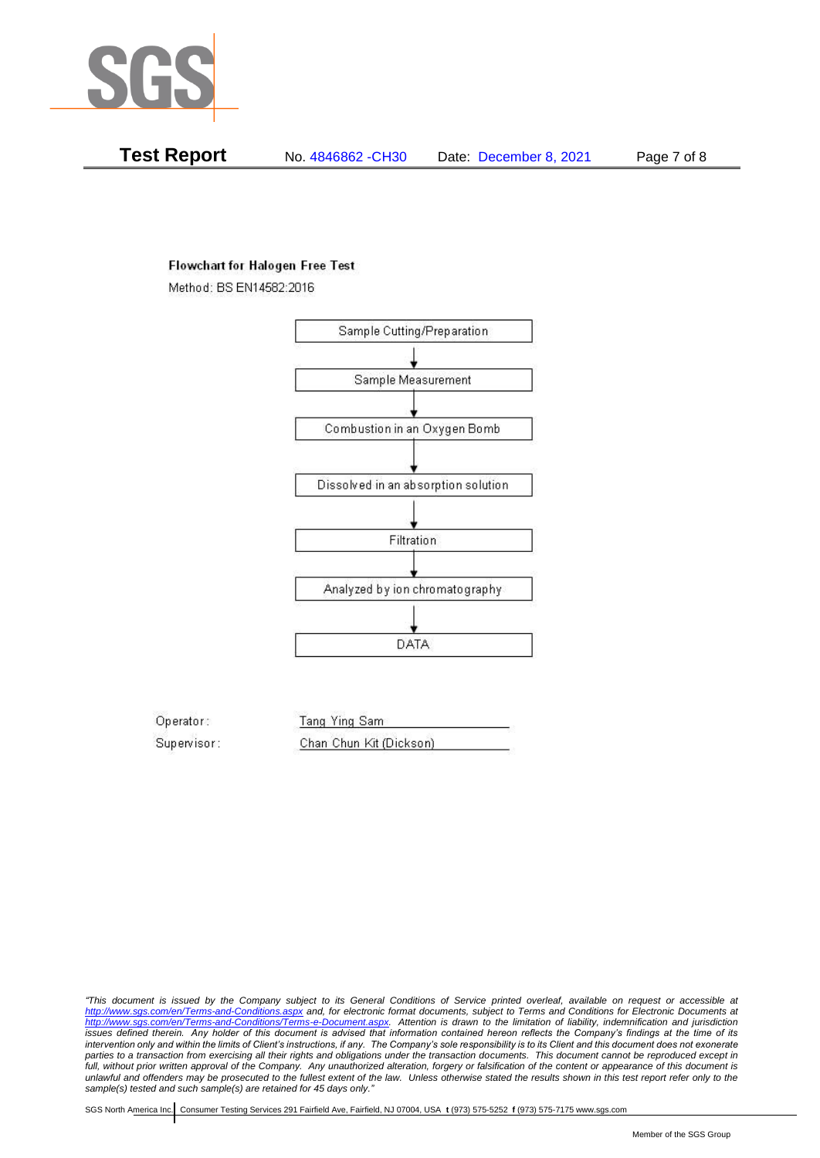

**Test Report** No. 4846862 -CH30 Date: December 8, 2021 Page 7 of 8

## **Flowchart for Halogen Free Test**

Method: BS EN14582:2016



Operator: Tang Ying Sam Supervisor: Chan Chun Kit (Dickson)

*"This document is issued by the Company subject to its General Conditions of Service printed overleaf, available on request or accessible at <http://www.sgs.com/en/Terms-and-Conditions.aspx> and, for electronic format documents, subject to Terms and Conditions for Electronic Documents at [http://www.sgs.com/en/Terms-and-Conditions/Terms-e-Document.aspx.](http://www.sgs.com/en/Terms-and-Conditions/Terms-e-Document.aspx) Attention is drawn to the limitation of liability, indemnification and jurisdiction issues defined therein. Any holder of this document is advised that information contained hereon reflects the Company's findings at the time of its intervention only and within the limits of Client's instructions, if any. The Company's sole responsibility is to its Client and this document does not exonerate parties to a transaction from exercising all their rights and obligations under the transaction documents. This document cannot be reproduced except in full, without prior written approval of the Company. Any unauthorized alteration, forgery or falsification of the content or appearance of this document is unlawful and offenders may be prosecuted to the fullest extent of the law. Unless otherwise stated the results shown in this test report refer only to the sample(s) tested and such sample(s) are retained for 45 days only."*